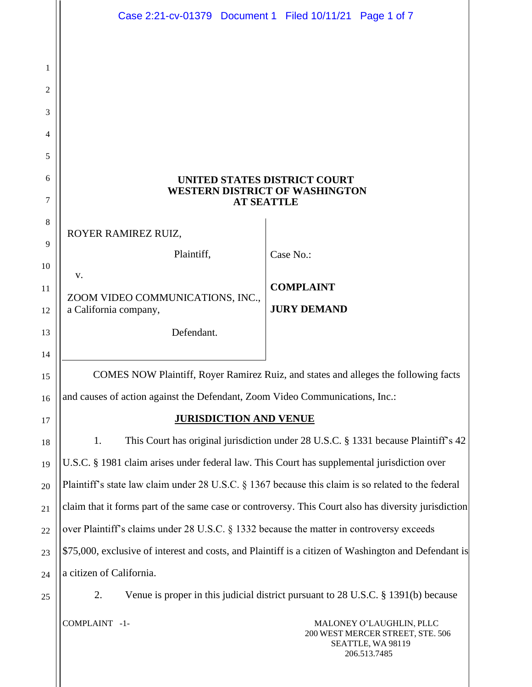|             | Case 2:21-cv-01379 Document 1 Filed 10/11/21 Page 1 of 7                                                           |  |  |
|-------------|--------------------------------------------------------------------------------------------------------------------|--|--|
| 1<br>2<br>3 |                                                                                                                    |  |  |
| 4           |                                                                                                                    |  |  |
| 5           |                                                                                                                    |  |  |
| 6<br>7      | UNITED STATES DISTRICT COURT<br><b>WESTERN DISTRICT OF WASHINGTON</b><br><b>AT SEATTLE</b>                         |  |  |
| 8<br>9      | ROYER RAMIREZ RUIZ,<br>Plaintiff,<br>Case No.:                                                                     |  |  |
| 10          | V.                                                                                                                 |  |  |
| 11<br>12    | <b>COMPLAINT</b><br>ZOOM VIDEO COMMUNICATIONS, INC.,<br><b>JURY DEMAND</b><br>a California company,                |  |  |
| 13<br>14    | Defendant.                                                                                                         |  |  |
| 15          | COMES NOW Plaintiff, Royer Ramirez Ruiz, and states and alleges the following facts                                |  |  |
| 16          | and causes of action against the Defendant, Zoom Video Communications, Inc.:                                       |  |  |
| 17          | <b>JURISDICTION AND VENUE</b>                                                                                      |  |  |
| 18          | 1.<br>This Court has original jurisdiction under 28 U.S.C. § 1331 because Plaintiff's 42                           |  |  |
| 19          | U.S.C. § 1981 claim arises under federal law. This Court has supplemental jurisdiction over                        |  |  |
| 20          | Plaintiff's state law claim under 28 U.S.C. § 1367 because this claim is so related to the federal                 |  |  |
| 21          | claim that it forms part of the same case or controversy. This Court also has diversity jurisdiction               |  |  |
| 22          | over Plaintiff's claims under 28 U.S.C. § 1332 because the matter in controversy exceeds                           |  |  |
| 23          | \$75,000, exclusive of interest and costs, and Plaintiff is a citizen of Washington and Defendant is               |  |  |
| 24          | a citizen of California.                                                                                           |  |  |
| 25          | Venue is proper in this judicial district pursuant to 28 U.S.C. § 1391(b) because<br>2.                            |  |  |
|             | COMPLAINT -1-<br>MALONEY O'LAUGHLIN, PLLC<br>200 WEST MERCER STREET, STE. 506<br>SEATTLE, WA 98119<br>206.513.7485 |  |  |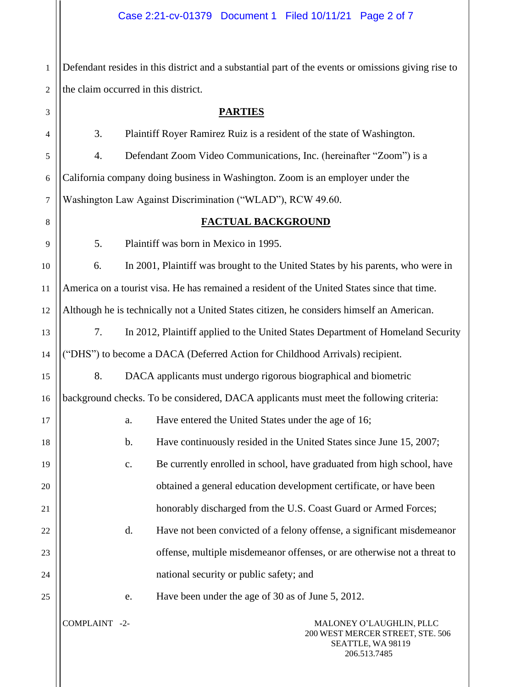1 2 Defendant resides in this district and a substantial part of the events or omissions giving rise to the claim occurred in this district.

| 3      |                                                                                             | <b>PARTIES</b>                                                                                    |  |  |
|--------|---------------------------------------------------------------------------------------------|---------------------------------------------------------------------------------------------------|--|--|
| 4      | 3.                                                                                          | Plaintiff Royer Ramirez Ruiz is a resident of the state of Washington.                            |  |  |
| 5      | 4.                                                                                          | Defendant Zoom Video Communications, Inc. (hereinafter "Zoom") is a                               |  |  |
| 6      | California company doing business in Washington. Zoom is an employer under the              |                                                                                                   |  |  |
| $\tau$ | Washington Law Against Discrimination ("WLAD"), RCW 49.60.                                  |                                                                                                   |  |  |
| 8      |                                                                                             | FACTUAL BACKGROUND                                                                                |  |  |
| 9      | 5.                                                                                          | Plaintiff was born in Mexico in 1995.                                                             |  |  |
| 10     | 6.                                                                                          | In 2001, Plaintiff was brought to the United States by his parents, who were in                   |  |  |
| 11     | America on a tourist visa. He has remained a resident of the United States since that time. |                                                                                                   |  |  |
| 12     |                                                                                             | Although he is technically not a United States citizen, he considers himself an American.         |  |  |
| 13     | 7.                                                                                          | In 2012, Plaintiff applied to the United States Department of Homeland Security                   |  |  |
| 14     | ("DHS") to become a DACA (Deferred Action for Childhood Arrivals) recipient.                |                                                                                                   |  |  |
| 15     | 8.                                                                                          | DACA applicants must undergo rigorous biographical and biometric                                  |  |  |
| 16     | background checks. To be considered, DACA applicants must meet the following criteria:      |                                                                                                   |  |  |
| 17     | a.                                                                                          | Have entered the United States under the age of 16;                                               |  |  |
| 18     | b.                                                                                          | Have continuously resided in the United States since June 15, 2007;                               |  |  |
| 19     | c.                                                                                          | Be currently enrolled in school, have graduated from high school, have                            |  |  |
| 20     |                                                                                             | obtained a general education development certificate, or have been                                |  |  |
| 21     |                                                                                             | honorably discharged from the U.S. Coast Guard or Armed Forces;                                   |  |  |
| 22     | d.                                                                                          | Have not been convicted of a felony offense, a significant misdemeanor                            |  |  |
| 23     |                                                                                             | offense, multiple misdemeanor offenses, or are otherwise not a threat to                          |  |  |
| 24     |                                                                                             | national security or public safety; and                                                           |  |  |
| 25     | e.                                                                                          | Have been under the age of 30 as of June 5, 2012.                                                 |  |  |
|        | COMPLAINT -2-                                                                               | MALONEY O'LAUGHLIN, PLLC<br>200 WEST MERCER STREET, STE. 506<br>SEATTLE, WA 98119<br>206.513.7485 |  |  |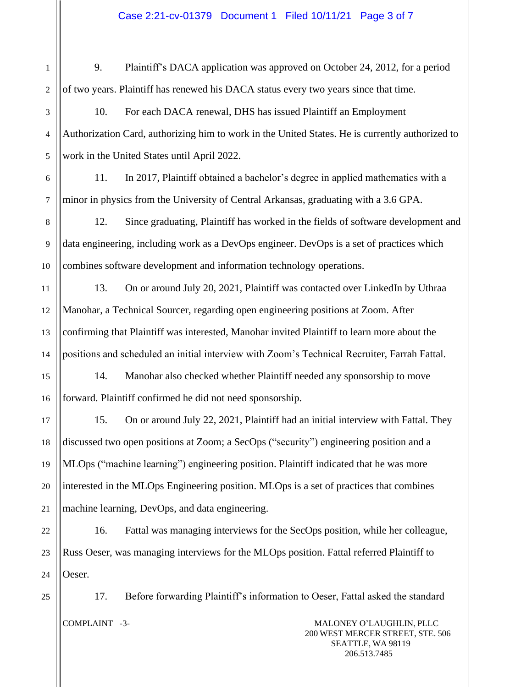### Case 2:21-cv-01379 Document 1 Filed 10/11/21 Page 3 of 7

1 2 9. Plaintiff's DACA application was approved on October 24, 2012, for a period of two years. Plaintiff has renewed his DACA status every two years since that time.

10. For each DACA renewal, DHS has issued Plaintiff an Employment Authorization Card, authorizing him to work in the United States. He is currently authorized to work in the United States until April 2022.

6 7 11. In 2017, Plaintiff obtained a bachelor's degree in applied mathematics with a minor in physics from the University of Central Arkansas, graduating with a 3.6 GPA.

8 9 10 12. Since graduating, Plaintiff has worked in the fields of software development and data engineering, including work as a DevOps engineer. DevOps is a set of practices which combines software development and information technology operations.

11 12 13 14 13. On or around July 20, 2021, Plaintiff was contacted over LinkedIn by Uthraa Manohar, a Technical Sourcer, regarding open engineering positions at Zoom. After confirming that Plaintiff was interested, Manohar invited Plaintiff to learn more about the positions and scheduled an initial interview with Zoom's Technical Recruiter, Farrah Fattal.

15 16 14. Manohar also checked whether Plaintiff needed any sponsorship to move forward. Plaintiff confirmed he did not need sponsorship.

15. On or around July 22, 2021, Plaintiff had an initial interview with Fattal. They discussed two open positions at Zoom; a SecOps ("security") engineering position and a MLOps ("machine learning") engineering position. Plaintiff indicated that he was more interested in the MLOps Engineering position. MLOps is a set of practices that combines machine learning, DevOps, and data engineering.

22 23 24 16. Fattal was managing interviews for the SecOps position, while her colleague, Russ Oeser, was managing interviews for the MLOps position. Fattal referred Plaintiff to Oeser.

17. Before forwarding Plaintiff's information to Oeser, Fattal asked the standard

3

4

5

17

18

19

20

21

25

COMPLAINT -3- MALONEY O'LAUGHLIN, PLLC 200 WEST MERCER STREET, STE. 506 SEATTLE, WA 98119 206.513.7485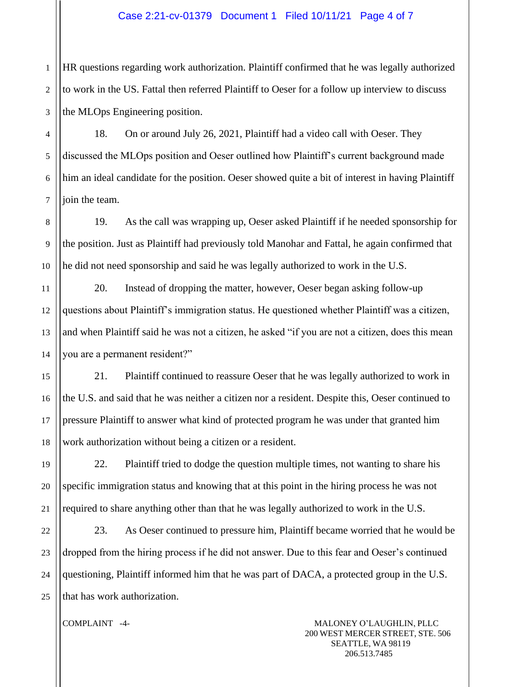#### Case 2:21-cv-01379 Document 1 Filed 10/11/21 Page 4 of 7

1 HR questions regarding work authorization. Plaintiff confirmed that he was legally authorized to work in the US. Fattal then referred Plaintiff to Oeser for a follow up interview to discuss the MLOps Engineering position.

18. On or around July 26, 2021, Plaintiff had a video call with Oeser. They discussed the MLOps position and Oeser outlined how Plaintiff's current background made him an ideal candidate for the position. Oeser showed quite a bit of interest in having Plaintiff join the team.

19. As the call was wrapping up, Oeser asked Plaintiff if he needed sponsorship for the position. Just as Plaintiff had previously told Manohar and Fattal, he again confirmed that he did not need sponsorship and said he was legally authorized to work in the U.S.

20. Instead of dropping the matter, however, Oeser began asking follow-up questions about Plaintiff's immigration status. He questioned whether Plaintiff was a citizen, and when Plaintiff said he was not a citizen, he asked "if you are not a citizen, does this mean you are a permanent resident?"

21. Plaintiff continued to reassure Oeser that he was legally authorized to work in the U.S. and said that he was neither a citizen nor a resident. Despite this, Oeser continued to pressure Plaintiff to answer what kind of protected program he was under that granted him work authorization without being a citizen or a resident.

22. Plaintiff tried to dodge the question multiple times, not wanting to share his specific immigration status and knowing that at this point in the hiring process he was not required to share anything other than that he was legally authorized to work in the U.S.

23. As Oeser continued to pressure him, Plaintiff became worried that he would be dropped from the hiring process if he did not answer. Due to this fear and Oeser's continued questioning, Plaintiff informed him that he was part of DACA, a protected group in the U.S. that has work authorization.

COMPLAINT -4- MALONEY O'LAUGHLIN, PLLC 200 WEST MERCER STREET, STE. 506 SEATTLE, WA 98119 206.513.7485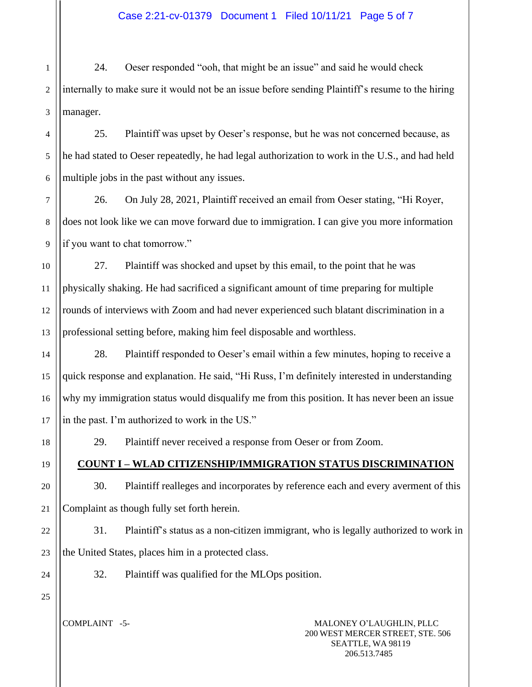## Case 2:21-cv-01379 Document 1 Filed 10/11/21 Page 5 of 7

1 2 3 24. Oeser responded "ooh, that might be an issue" and said he would check internally to make sure it would not be an issue before sending Plaintiff's resume to the hiring manager.

25. Plaintiff was upset by Oeser's response, but he was not concerned because, as he had stated to Oeser repeatedly, he had legal authorization to work in the U.S., and had held multiple jobs in the past without any issues.

26. On July 28, 2021, Plaintiff received an email from Oeser stating, "Hi Royer, does not look like we can move forward due to immigration. I can give you more information if you want to chat tomorrow."

10 12 13 27. Plaintiff was shocked and upset by this email, to the point that he was physically shaking. He had sacrificed a significant amount of time preparing for multiple rounds of interviews with Zoom and had never experienced such blatant discrimination in a professional setting before, making him feel disposable and worthless.

28. Plaintiff responded to Oeser's email within a few minutes, hoping to receive a quick response and explanation. He said, "Hi Russ, I'm definitely interested in understanding why my immigration status would disqualify me from this position. It has never been an issue in the past. I'm authorized to work in the US."

29. Plaintiff never received a response from Oeser or from Zoom.

# **COUNT I – WLAD CITIZENSHIP/IMMIGRATION STATUS DISCRIMINATION**

30. Plaintiff realleges and incorporates by reference each and every averment of this Complaint as though fully set forth herein.

22 23 31. Plaintiff's status as a non-citizen immigrant, who is legally authorized to work in the United States, places him in a protected class.

32. Plaintiff was qualified for the MLOps position.

25

24

4

5

6

7

8

9

11

14

15

16

17

18

19

20

21

COMPLAINT -5- MALONEY O'LAUGHLIN, PLLC 200 WEST MERCER STREET, STE. 506 SEATTLE, WA 98119 206.513.7485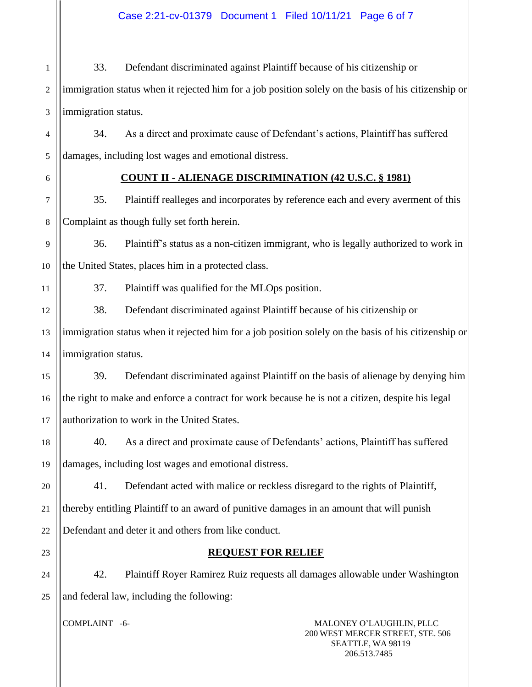# COMPLAINT -6- MALONEY O'LAUGHLIN, PLLC 1 2 3 4 5 6 7 8 9 10 11 12 13 14 15 16 17 18 19 20 21 22 23 24 25 33. Defendant discriminated against Plaintiff because of his citizenship or immigration status when it rejected him for a job position solely on the basis of his citizenship or immigration status. 34. As a direct and proximate cause of Defendant's actions, Plaintiff has suffered damages, including lost wages and emotional distress. **COUNT II - ALIENAGE DISCRIMINATION (42 U.S.C. § 1981)** 35. Plaintiff realleges and incorporates by reference each and every averment of this Complaint as though fully set forth herein. 36. Plaintiff's status as a non-citizen immigrant, who is legally authorized to work in the United States, places him in a protected class. 37. Plaintiff was qualified for the MLOps position. 38. Defendant discriminated against Plaintiff because of his citizenship or immigration status when it rejected him for a job position solely on the basis of his citizenship or immigration status. 39. Defendant discriminated against Plaintiff on the basis of alienage by denying him the right to make and enforce a contract for work because he is not a citizen, despite his legal authorization to work in the United States. 40. As a direct and proximate cause of Defendants' actions, Plaintiff has suffered damages, including lost wages and emotional distress. 41. Defendant acted with malice or reckless disregard to the rights of Plaintiff, thereby entitling Plaintiff to an award of punitive damages in an amount that will punish Defendant and deter it and others from like conduct. **REQUEST FOR RELIEF** 42. Plaintiff Royer Ramirez Ruiz requests all damages allowable under Washington and federal law, including the following: Case 2:21-cv-01379 Document 1 Filed 10/11/21 Page 6 of 7

 200 WEST MERCER STREET, STE. 506 SEATTLE, WA 98119 206.513.7485